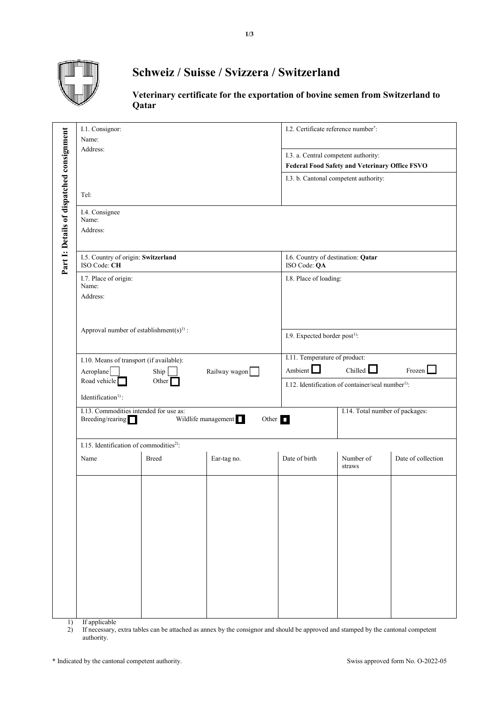

## **Schweiz / Suisse / Svizzera / Switzerland**

**Veterinary certificate for the exportation of bovine semen from Switzerland to Qatar**

|                                           | I.1. Consignor:<br>Name:<br>Address:                                                                |              |             | I.2. Certificate reference number*:                                                    |                                 |                    |  |
|-------------------------------------------|-----------------------------------------------------------------------------------------------------|--------------|-------------|----------------------------------------------------------------------------------------|---------------------------------|--------------------|--|
|                                           |                                                                                                     |              |             | I.3. a. Central competent authority:<br>Federal Food Safety and Veterinary Office FSVO |                                 |                    |  |
|                                           |                                                                                                     |              |             | I.3. b. Cantonal competent authority:                                                  |                                 |                    |  |
|                                           | Tel:                                                                                                |              |             |                                                                                        |                                 |                    |  |
| Part I: Details of dispatched consignment | I.4. Consignee<br>Name:<br>Address:                                                                 |              |             |                                                                                        |                                 |                    |  |
|                                           | I.5. Country of origin: Switzerland<br>ISO Code: CH                                                 |              |             | I.6. Country of destination: Qatar<br>ISO Code: QA                                     |                                 |                    |  |
|                                           | I.7. Place of origin:<br>Name:<br>Address:                                                          |              |             | I.8. Place of loading:                                                                 |                                 |                    |  |
|                                           | Approval number of establishment(s) <sup>1)</sup> :                                                 |              |             |                                                                                        |                                 |                    |  |
|                                           |                                                                                                     |              |             | I.9. Expected border post <sup>1)</sup> :                                              |                                 |                    |  |
|                                           | I.10. Means of transport (if available):<br>Ship<br>Railway wagon<br>Aeroplane                      |              |             | I.11. Temperature of product:<br>Ambient $\Box$                                        | Chilled L                       | Frozen $\Box$      |  |
|                                           | Road vehicle<br>Other<br>Identification <sup>1)</sup> :                                             |              |             | I.12. Identification of container/seal number <sup>1)</sup> :                          |                                 |                    |  |
|                                           | I.13. Commodities intended for use as:<br>Wildlife management I<br>Other $\Box$<br>Breeding/rearing |              |             |                                                                                        | I.14. Total number of packages: |                    |  |
|                                           | I.15. Identification of commodities <sup>2)</sup> :                                                 |              |             |                                                                                        |                                 |                    |  |
|                                           | Name                                                                                                | <b>Breed</b> | Ear-tag no. | Date of birth                                                                          | Number of<br>straws             | Date of collection |  |
|                                           |                                                                                                     |              |             |                                                                                        |                                 |                    |  |
|                                           |                                                                                                     |              |             |                                                                                        |                                 |                    |  |
| 1)                                        | If applicable                                                                                       |              |             |                                                                                        |                                 |                    |  |

1) If applicable

2) If necessary, extra tables can be attached as annex by the consignor and should be approved and stamped by the cantonal competent authority.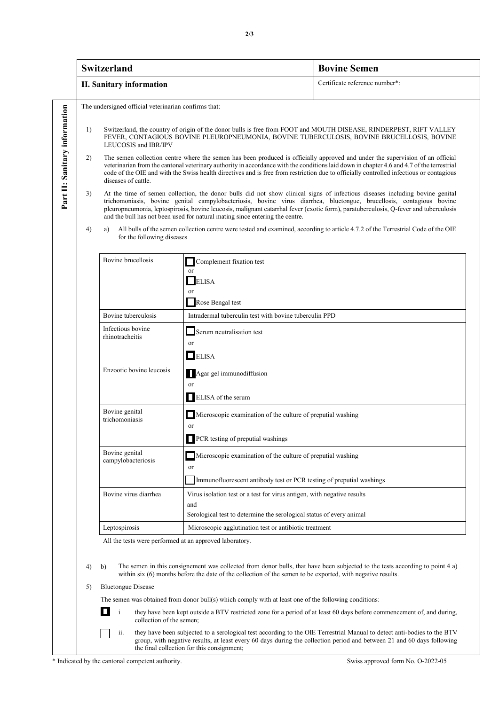|                                                                                                                                                                            | <b>Switzerland</b>                                                                                                                                                                                                                                                                                                                                                                                                                                                                 |                                                                         |                                                                                                                                                                                                                 | <b>Bovine Semen</b>                                                                                                                                                                                                                               |  |  |
|----------------------------------------------------------------------------------------------------------------------------------------------------------------------------|------------------------------------------------------------------------------------------------------------------------------------------------------------------------------------------------------------------------------------------------------------------------------------------------------------------------------------------------------------------------------------------------------------------------------------------------------------------------------------|-------------------------------------------------------------------------|-----------------------------------------------------------------------------------------------------------------------------------------------------------------------------------------------------------------|---------------------------------------------------------------------------------------------------------------------------------------------------------------------------------------------------------------------------------------------------|--|--|
|                                                                                                                                                                            | <b>II. Sanitary information</b>                                                                                                                                                                                                                                                                                                                                                                                                                                                    |                                                                         |                                                                                                                                                                                                                 | Certificate reference number*:                                                                                                                                                                                                                    |  |  |
|                                                                                                                                                                            | The undersigned official veterinarian confirms that:                                                                                                                                                                                                                                                                                                                                                                                                                               |                                                                         |                                                                                                                                                                                                                 |                                                                                                                                                                                                                                                   |  |  |
|                                                                                                                                                                            | 1)                                                                                                                                                                                                                                                                                                                                                                                                                                                                                 | LEUCOSIS and IBR/IPV                                                    | Switzerland, the country of origin of the donor bulls is free from FOOT and MOUTH DISEASE, RINDERPEST, RIFT VALLEY<br>FEVER, CONTAGIOUS BOVINE PLEUROPNEUMONIA, BOVINE TUBERCULOSIS, BOVINE BRUCELLOSIS, BOVINE |                                                                                                                                                                                                                                                   |  |  |
| Part II: Sanitary information                                                                                                                                              | 2)<br>The semen collection centre where the semen has been produced is officially approved and under the supervision of an official<br>veterinarian from the cantonal veterinary authority in accordance with the conditions laid down in chapter 4.6 and 4.7 of the terrestrial<br>code of the OIE and with the Swiss health directives and is free from restriction due to officially controlled infectious or contagious<br>diseases of cattle.                                 |                                                                         |                                                                                                                                                                                                                 |                                                                                                                                                                                                                                                   |  |  |
|                                                                                                                                                                            | At the time of semen collection, the donor bulls did not show clinical signs of infectious diseases including bovine genital<br>3)<br>trichomoniasis, bovine genital campylobacteriosis, bovine virus diarrhea, bluetongue, brucellosis, contagious bovine<br>pleuropneumonia, leptospirosis, bovine leucosis, malignant catarrhal fever (exotic form), paratuberculosis, Q-fever and tuberculosis<br>and the bull has not been used for natural mating since entering the centre. |                                                                         |                                                                                                                                                                                                                 |                                                                                                                                                                                                                                                   |  |  |
| All bulls of the semen collection centre were tested and examined, according to article 4.7.2 of the Terrestrial Code of the OIE<br>4)<br>a)<br>for the following diseases |                                                                                                                                                                                                                                                                                                                                                                                                                                                                                    |                                                                         |                                                                                                                                                                                                                 |                                                                                                                                                                                                                                                   |  |  |
| Bovine brucellosis<br>Complement fixation test<br>or                                                                                                                       |                                                                                                                                                                                                                                                                                                                                                                                                                                                                                    |                                                                         |                                                                                                                                                                                                                 |                                                                                                                                                                                                                                                   |  |  |
|                                                                                                                                                                            |                                                                                                                                                                                                                                                                                                                                                                                                                                                                                    |                                                                         |                                                                                                                                                                                                                 |                                                                                                                                                                                                                                                   |  |  |
|                                                                                                                                                                            |                                                                                                                                                                                                                                                                                                                                                                                                                                                                                    |                                                                         | <b>ELISA</b><br><sub>or</sub>                                                                                                                                                                                   |                                                                                                                                                                                                                                                   |  |  |
| Rose Bengal test                                                                                                                                                           |                                                                                                                                                                                                                                                                                                                                                                                                                                                                                    |                                                                         |                                                                                                                                                                                                                 |                                                                                                                                                                                                                                                   |  |  |
|                                                                                                                                                                            |                                                                                                                                                                                                                                                                                                                                                                                                                                                                                    | Bovine tuberculosis                                                     | Intradermal tuberculin test with bovine tuberculin PPD                                                                                                                                                          |                                                                                                                                                                                                                                                   |  |  |
|                                                                                                                                                                            |                                                                                                                                                                                                                                                                                                                                                                                                                                                                                    | Infectious bovine<br>rhinotracheitis                                    | Serum neutralisation test<br>or                                                                                                                                                                                 |                                                                                                                                                                                                                                                   |  |  |
|                                                                                                                                                                            |                                                                                                                                                                                                                                                                                                                                                                                                                                                                                    |                                                                         | $\Box$ ELISA                                                                                                                                                                                                    |                                                                                                                                                                                                                                                   |  |  |
| Enzootic bovine leucosis<br>Agar gel immunodiffusion<br><b>or</b>                                                                                                          |                                                                                                                                                                                                                                                                                                                                                                                                                                                                                    |                                                                         |                                                                                                                                                                                                                 |                                                                                                                                                                                                                                                   |  |  |
| ELISA of the serum                                                                                                                                                         |                                                                                                                                                                                                                                                                                                                                                                                                                                                                                    |                                                                         |                                                                                                                                                                                                                 |                                                                                                                                                                                                                                                   |  |  |
|                                                                                                                                                                            |                                                                                                                                                                                                                                                                                                                                                                                                                                                                                    | Bovine genital<br>trichomoniasis                                        | Microscopic examination of the culture of preputial washing<br><b>or</b>                                                                                                                                        |                                                                                                                                                                                                                                                   |  |  |
|                                                                                                                                                                            |                                                                                                                                                                                                                                                                                                                                                                                                                                                                                    |                                                                         | PCR testing of preputial washings                                                                                                                                                                               |                                                                                                                                                                                                                                                   |  |  |
|                                                                                                                                                                            |                                                                                                                                                                                                                                                                                                                                                                                                                                                                                    | Bovine genital<br>campylobacteriosis                                    | Microscopic examination of the culture of preputial washing<br>or                                                                                                                                               |                                                                                                                                                                                                                                                   |  |  |
|                                                                                                                                                                            |                                                                                                                                                                                                                                                                                                                                                                                                                                                                                    |                                                                         | Immunofluorescent antibody test or PCR testing of preputial washings                                                                                                                                            |                                                                                                                                                                                                                                                   |  |  |
|                                                                                                                                                                            |                                                                                                                                                                                                                                                                                                                                                                                                                                                                                    | Bovine virus diarrhea                                                   | Virus isolation test or a test for virus antigen, with negative results<br>and                                                                                                                                  |                                                                                                                                                                                                                                                   |  |  |
|                                                                                                                                                                            |                                                                                                                                                                                                                                                                                                                                                                                                                                                                                    |                                                                         | Serological test to determine the serological status of every animal                                                                                                                                            |                                                                                                                                                                                                                                                   |  |  |
|                                                                                                                                                                            |                                                                                                                                                                                                                                                                                                                                                                                                                                                                                    | Leptospirosis<br>Microscopic agglutination test or antibiotic treatment |                                                                                                                                                                                                                 |                                                                                                                                                                                                                                                   |  |  |
| All the tests were performed at an approved laboratory.                                                                                                                    |                                                                                                                                                                                                                                                                                                                                                                                                                                                                                    |                                                                         |                                                                                                                                                                                                                 |                                                                                                                                                                                                                                                   |  |  |
|                                                                                                                                                                            | The semen in this consignement was collected from donor bulls, that have been subjected to the tests according to point 4 a)<br>b)<br>4)<br>within six (6) months before the date of the collection of the semen to be exported, with negative results.                                                                                                                                                                                                                            |                                                                         |                                                                                                                                                                                                                 |                                                                                                                                                                                                                                                   |  |  |
| <b>Bluetongue Disease</b><br>5)                                                                                                                                            |                                                                                                                                                                                                                                                                                                                                                                                                                                                                                    |                                                                         |                                                                                                                                                                                                                 |                                                                                                                                                                                                                                                   |  |  |
| The semen was obtained from donor bull(s) which comply with at least one of the following conditions:                                                                      |                                                                                                                                                                                                                                                                                                                                                                                                                                                                                    |                                                                         |                                                                                                                                                                                                                 |                                                                                                                                                                                                                                                   |  |  |
| ш<br>$\mathbf{i}$<br>they have been kept outside a BTV restricted zone for a period of at least 60 days before commencement of, and during,<br>collection of the semen;    |                                                                                                                                                                                                                                                                                                                                                                                                                                                                                    |                                                                         |                                                                                                                                                                                                                 |                                                                                                                                                                                                                                                   |  |  |
|                                                                                                                                                                            |                                                                                                                                                                                                                                                                                                                                                                                                                                                                                    | ii.                                                                     | the final collection for this consignment;                                                                                                                                                                      | they have been subjected to a serological test according to the OIE Terrestrial Manual to detect anti-bodies to the BTV<br>group, with negative results, at least every 60 days during the collection period and between 21 and 60 days following |  |  |